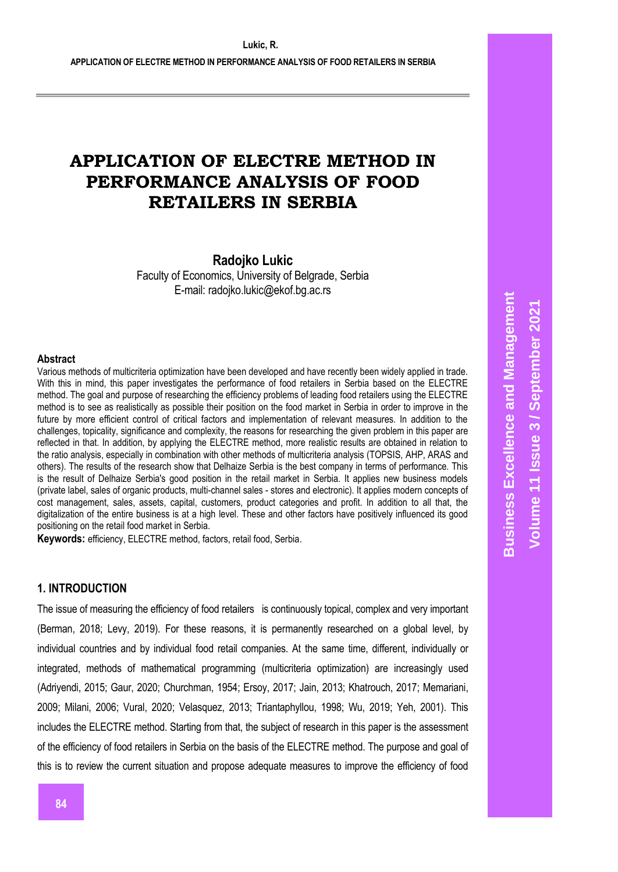**Radojko Lukic**

Faculty of Economics, University of Belgrade, Serbia E-mail: radojko.lukic@ekof.bg.ac.rs

#### **Abstract**

Various methods of multicriteria optimization have been developed and have recently been widely applied in trade. With this in mind, this paper investigates the performance of food retailers in Serbia based on the ELECTRE method. The goal and purpose of researching the efficiency problems of leading food retailers using the ELECTRE method is to see as realistically as possible their position on the food market in Serbia in order to improve in the future by more efficient control of critical factors and implementation of relevant measures. In addition to the challenges, topicality, significance and complexity, the reasons for researching the given problem in this paper are reflected in that. In addition, by applying the ELECTRE method, more realistic results are obtained in relation to the ratio analysis, especially in combination with other methods of multicriteria analysis (TOPSIS, AHP, ARAS and others). The results of the research show that Delhaize Serbia is the best company in terms of performance. This is the result of Delhaize Serbia's good position in the retail market in Serbia. It applies new business models (private label, sales of organic products, multi-channel sales - stores and electronic). It applies modern concepts of cost management, sales, assets, capital, customers, product categories and profit. In addition to all that, the digitalization of the entire business is at a high level. These and other factors have positively influenced its good positioning on the retail food market in Serbia.

**Keywords:** efficiency, ELECTRE method, factors, retail food, Serbia.

# **1. INTRODUCTION**

The issue of measuring the efficiency of food retailers is continuously topical, complex and very important (Berman, 2018; Levy, 2019). For these reasons, it is permanently researched on a global level, by individual countries and by individual food retail companies. At the same time, different, individually or integrated, methods of mathematical programming (multicriteria optimization) are increasingly used (Adriyendi, 2015; Gaur, 2020; Churchman, 1954; Ersoy, 2017; Jain, 2013; Khatrouch, 2017; Memariani, 2009; Milani, 2006; Vural, 2020; Velasquez, 2013; Triantaphyllou, 1998; Wu, 2019; Yeh, 2001). This includes the ELECTRE method. Starting from that, the subject of research in this paper is the assessment of the efficiency of food retailers in Serbia on the basis of the ELECTRE method. The purpose and goal of this is to review the current situation and propose adequate measures to improve the efficiency of food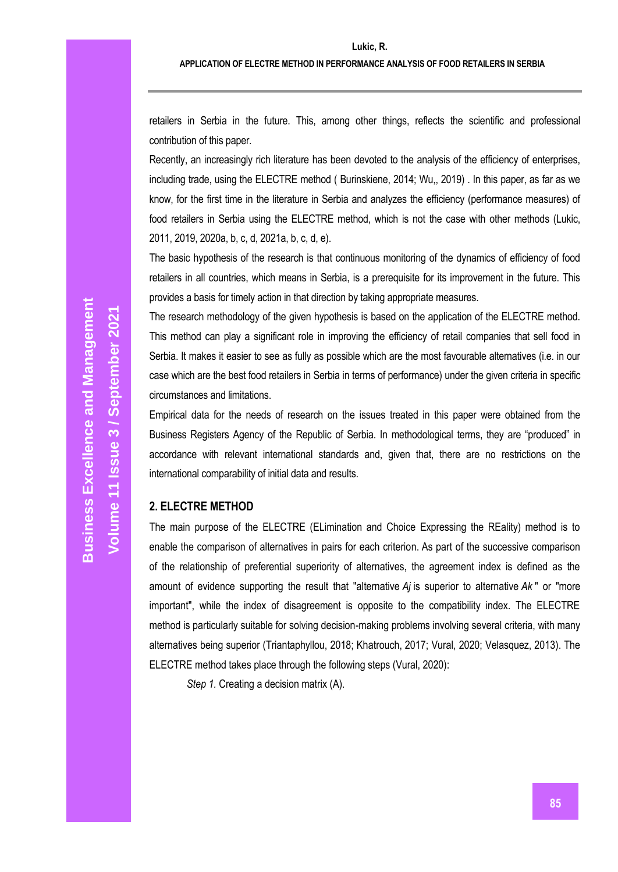retailers in Serbia in the future. This, among other things, reflects the scientific and professional contribution of this paper.

Recently, an increasingly rich literature has been devoted to the analysis of the efficiency of enterprises, including trade, using the ELECTRE method ( Burinskiene, 2014; Wu,, 2019) . In this paper, as far as we know, for the first time in the literature in Serbia and analyzes the efficiency (performance measures) of food retailers in Serbia using the ELECTRE method, which is not the case with other methods (Lukic, 2011, 2019, 2020a, b, c, d, 2021a, b, c, d, e).

The basic hypothesis of the research is that continuous monitoring of the dynamics of efficiency of food retailers in all countries, which means in Serbia, is a prerequisite for its improvement in the future. This provides a basis for timely action in that direction by taking appropriate measures.

The research methodology of the given hypothesis is based on the application of the ELECTRE method. This method can play a significant role in improving the efficiency of retail companies that sell food in Serbia. It makes it easier to see as fully as possible which are the most favourable alternatives (i.e. in our case which are the best food retailers in Serbia in terms of performance) under the given criteria in specific circumstances and limitations.

Empirical data for the needs of research on the issues treated in this paper were obtained from the Business Registers Agency of the Republic of Serbia. In methodological terms, they are "produced" in accordance with relevant international standards and, given that, there are no restrictions on the international comparability of initial data and results.

# **2. ELECTRE METHOD**

The main purpose of the ELECTRE (ELimination and Choice Expressing the REality) method is to enable the comparison of alternatives in pairs for each criterion. As part of the successive comparison of the relationship of preferential superiority of alternatives, the agreement index is defined as the amount of evidence supporting the result that "alternative *Aj* is superior to alternative *Ak* " or "more important", while the index of disagreement is opposite to the compatibility index. The ELECTRE method is particularly suitable for solving decision-making problems involving several criteria, with many alternatives being superior (Triantaphyllou, 2018; Khatrouch, 2017; Vural, 2020; Velasquez, 2013). The ELECTRE method takes place through the following steps (Vural, 2020):

*Step 1.* Creating a decision matrix (A).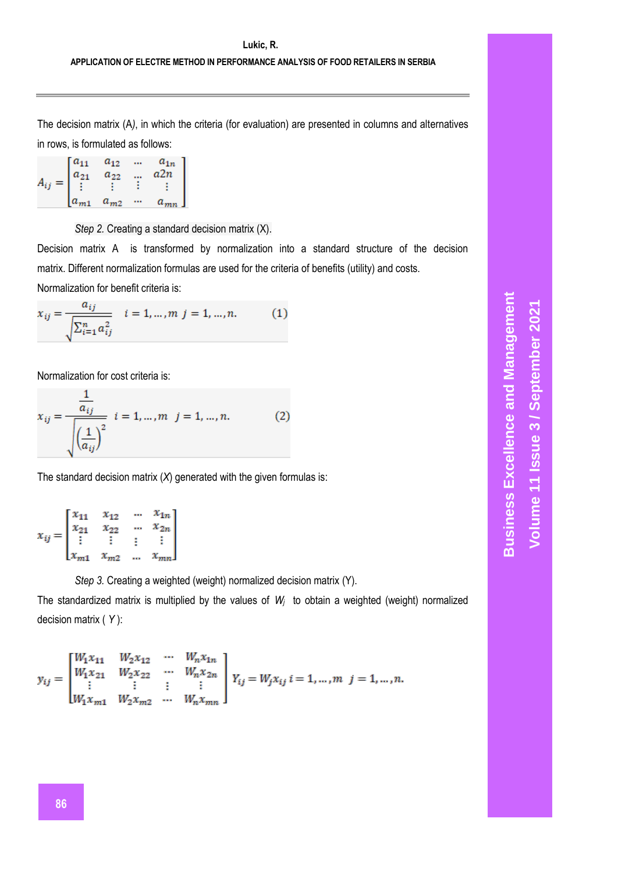The decision matrix (A*)*, in which the criteria (for evaluation) are presented in columns and alternatives in rows, is formulated as follows:

$$
A_{ij} = \begin{bmatrix} a_{11} & a_{12} & \dots & a_{1n} \\ a_{21} & a_{22} & \dots & a_{2n} \\ \vdots & \vdots & \vdots & \vdots \\ a_{m1} & a_{m2} & \dots & a_{mn} \end{bmatrix}
$$

*Step 2.* Creating a standard decision matrix (X).

Decision matrix A is transformed by normalization into a standard structure of the decision matrix. Different normalization formulas are used for the criteria of benefits (utility) and costs. Normalization for benefit criteria is:

$$
x_{ij} = \frac{a_{ij}}{\sqrt{\sum_{i=1}^{n} a_{ij}^2}} \quad i = 1, ..., m \quad j = 1, ..., n. \tag{1}
$$

Normalization for cost criteria is:

$$
x_{ij} = \frac{\frac{1}{a_{ij}}}{\sqrt{\left(\frac{1}{a_{ij}}\right)^2}} \quad i = 1, ..., m \quad j = 1, ..., n. \tag{2}
$$

The standard decision matrix (*X*) generated with the given formulas is:

|          | $\lceil x_{11} \rceil$   | $x_{12}$ |              | $\cdots$ $x_{1n}$ |  |
|----------|--------------------------|----------|--------------|-------------------|--|
|          | $x_{21}$                 | $x_{22}$ |              | $\cdots$ $x_{2n}$ |  |
| $x_{ij}$ |                          |          |              |                   |  |
|          | $\lfloor x_{m1} \rfloor$ | $x_{m2}$ | $\mathbf{r}$ | $x_{mn}$          |  |

*Step 3.* Creating a weighted (weight) normalized decision matrix (Y).

The standardized matrix is multiplied by the values of *W<sup>j</sup>* to obtain a weighted (weight) normalized decision matrix ( *Y* ):

$$
y_{ij} = \begin{bmatrix} W_1x_{11} & W_2x_{12} & \cdots & W_nx_{1n} \\ W_1x_{21} & W_2x_{22} & \cdots & W_nx_{2n} \\ \vdots & \vdots & \vdots & \vdots \\ W_1x_{m1} & W_2x_{m2} & \cdots & W_nx_{mn} \end{bmatrix} \\ Y_{ij} = W_jx_{ij} \\ i = 1, \ldots, m \ \ j = 1, \ldots, n.
$$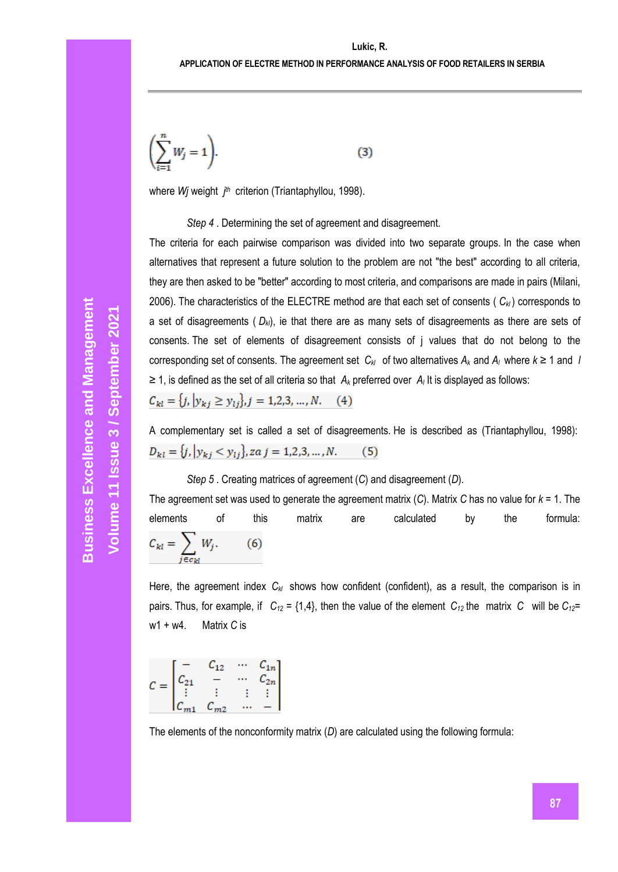$$
\left(\sum_{i=1}^{n} W_j = 1\right). \tag{3}
$$

where *Wj* weight *j th* criterion (Triantaphyllou, 1998).

*Step 4* . Determining the set of agreement and disagreement.

The criteria for each pairwise comparison was divided into two separate groups. In the case when alternatives that represent a future solution to the problem are not "the best" according to all criteria, they are then asked to be "better" according to most criteria, and comparisons are made in pairs (Milani, 2006). The characteristics of the ELECTRE method are that each set of consents ( $C_{k}$ ) corresponds to a set of disagreements ( *Dkl*), ie that there are as many sets of disagreements as there are sets of consents. The set of elements of disagreement consists of j values that do not belong to the corresponding set of consents. The agreement set  $C_{k}$  of two alternatives  $A_k$  and  $A_l$  where  $k \ge 1$  and *l* ≥ 1, is defined as the set of all criteria so that *A<sup>k</sup>* preferred over *A<sup>l</sup>* It is displayed as follows:

$$
C_{kl} = \{j, |y_{kj} \ge y_{lj}\}, j = 1, 2, 3, ..., N. \quad (4)
$$

A complementary set is called a set of disagreements. He is described as (Triantaphyllou, 1998):  $D_{kl} = \{j, |y_{kj} < y_{li}\}\$ , za j = 1,2,3, ..., N.  $(5)$ 

# *Step 5* . Creating matrices of agreement (*C*) and disagreement (*D*).

The agreement set was used to generate the agreement matrix (*C*). Matrix *C* has no value for *k* = 1. The elements of this matrix are calculated by the formula:  $C_{kl} = \sum_{j \in c_{kl}} W_j.$  $(6)$ 

Here, the agreement index  $C_{kl}$  shows how confident (confident), as a result, the comparison is in pairs. Thus, for example, if  $C_{12} = \{1,4\}$ , then the value of the element  $C_{12}$  the matrix *C* will be  $C_{12}$ = w1 + w4. Matrix *C* is

$$
C = \begin{bmatrix} - & C_{12} & \cdots & C_{1n} \\ C_{21} & - & \cdots & C_{2n} \\ \vdots & \vdots & \vdots & \vdots \\ C_{m1} & C_{m2} & \cdots & - \end{bmatrix}
$$

The elements of the nonconformity matrix (*D*) are calculated using the following formula: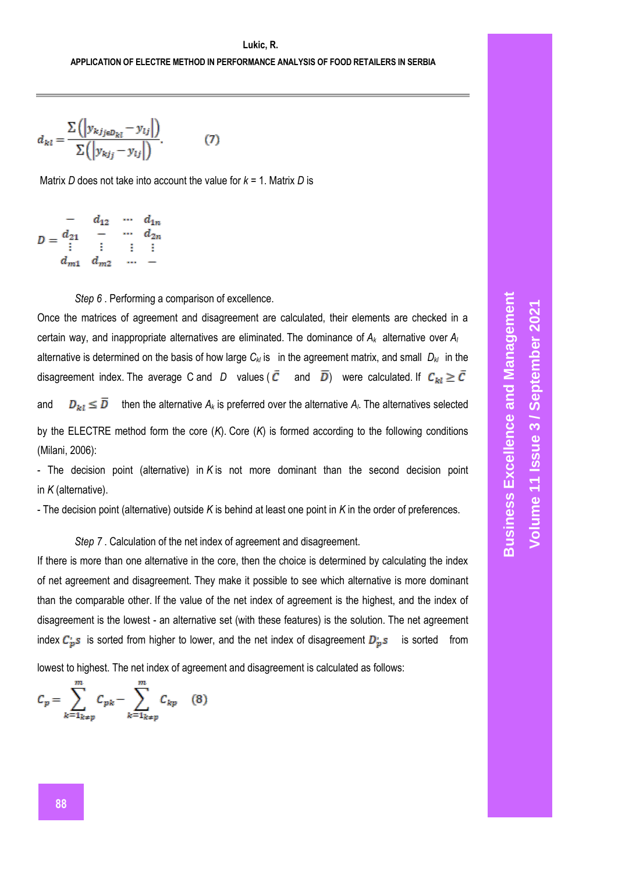$$
d_{kl} = \frac{\sum \left( \left| y_{kjj \in D_{kl}} - y_{lj} \right| \right)}{\sum \left( \left| y_{kjj} - y_{lj} \right| \right)}.
$$
 (7)

Matrix *D* does not take into account the value for *k* = 1. Matrix *D* is

$$
D = \begin{matrix} & - & d_{12} & \cdots & d_{1n} \\ & - & \cdots & & \\ & \vdots & \vdots & \vdots & \vdots \\ & d_{m1} & d_{m2} & \cdots & - \end{matrix}
$$

*Step 6* . Performing a comparison of excellence.

Once the matrices of agreement and disagreement are calculated, their elements are checked in a certain way, and inappropriate alternatives are eliminated. The dominance of *A<sup>k</sup>* alternative over *A<sup>l</sup>* alternative is determined on the basis of how large  $C_{k/2}$  is in the agreement matrix, and small  $D_{k/2}$  in the disagreement index. The average C and *D* values ( $\bar{C}$  and  $\bar{D}$ ) were calculated. If  $C_{kl} \geq \bar{C}$ and  $D_{kl} \leq \overline{D}$  then the alternative  $A_k$  is preferred over the alternative  $A_l$ . The alternatives selected by the ELECTRE method form the core (*K*). Core (*K*) is formed according to the following conditions (Milani, 2006):

- The decision point (alternative) in *K* is not more dominant than the second decision point in *K* (alternative).

- The decision point (alternative) outside *K* is behind at least one point in *K* in the order of preferences.

*Step 7* . Calculation of the net index of agreement and disagreement.

If there is more than one alternative in the core, then the choice is determined by calculating the index of net agreement and disagreement. They make it possible to see which alternative is more dominant than the comparable other. If the value of the net index of agreement is the highest, and the index of disagreement is the lowest - an alternative set (with these features) is the solution. The net agreement index  $C_{p}^{'}s$  is sorted from higher to lower, and the net index of disagreement  $D_{p}^{'}s$  is sorted from

lowest to highest. The net index of agreement and disagreement is calculated as follows:

$$
C_p = \sum_{k=1_{k\neq p}}^{m} C_{pk} - \sum_{k=1_{k\neq p}}^{m} C_{kp} \quad (8)
$$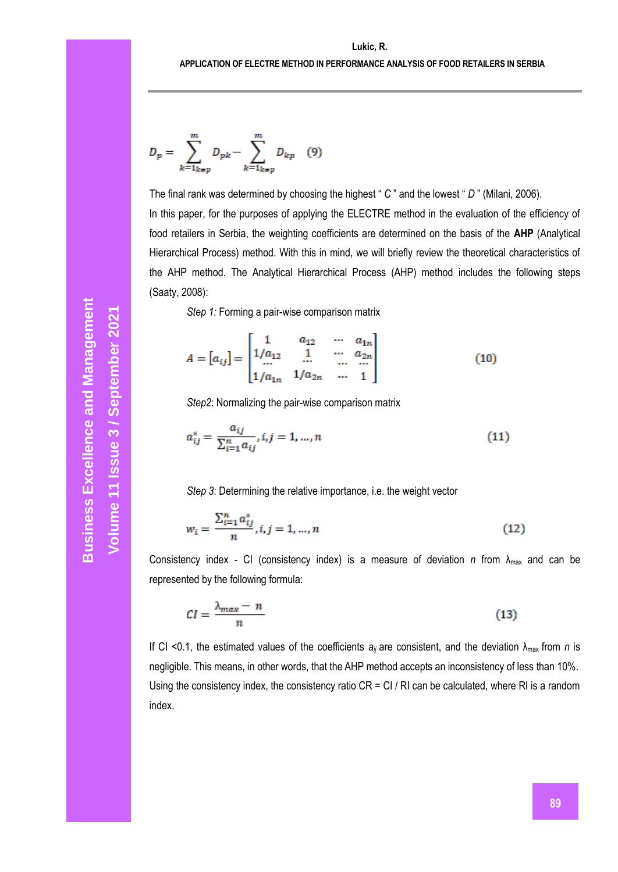$$
D_{p} = \sum_{k=1_{k\neq p}}^{m} D_{pk} - \sum_{k=1_{k\neq p}}^{m} D_{kp} \quad (9)
$$

The final rank was determined by choosing the highest " *C* " and the lowest " *D* " (Milani, 2006).

In this paper, for the purposes of applying the ELECTRE method in the evaluation of the efficiency of food retailers in Serbia, the weighting coefficients are determined on the basis of the **AHP** (Analytical Hierarchical Process) method. With this in mind, we will briefly review the theoretical characteristics of the AHP method. The Analytical Hierarchical Process (AHP) method includes the following steps (Saaty, 2008):

*Step 1:* Forming a pair-wise comparison matrix

$$
A = [a_{ij}] = \begin{bmatrix} 1 & a_{12} & \cdots & a_{1n} \\ 1/a_{12} & 1 & \cdots & a_{2n} \\ \cdots & \cdots & \cdots & \cdots \\ 1/a_{1n} & 1/a_{2n} & \cdots & 1 \end{bmatrix}
$$
(10)

*Step2*: Normalizing the pair-wise comparison matrix

$$
a_{ij}^* = \frac{a_{ij}}{\sum_{i=1}^n a_{ij}}, i, j = 1, ..., n
$$
\n(11)

*Step 3*: Determining the relative importance, i.e. the weight vector

$$
w_i = \frac{\sum_{i=1}^{n} a_{ij}^*}{n}, i, j = 1, ..., n
$$
 (12)

Consistency index - CI (consistency index) is a measure of deviation *n* from  $\lambda_{\text{max}}$  and can be represented by the following formula:

$$
CI = \frac{\lambda_{max} - n}{n} \tag{13}
$$

If CI <0.1, the estimated values of the coefficients  $a_{ij}$  are consistent, and the deviation  $\lambda_{\text{max}}$  from *n* is negligible. This means, in other words, that the AHP method accepts an inconsistency of less than 10%. Using the consistency index, the consistency ratio CR = CI / RI can be calculated, where RI is a random index.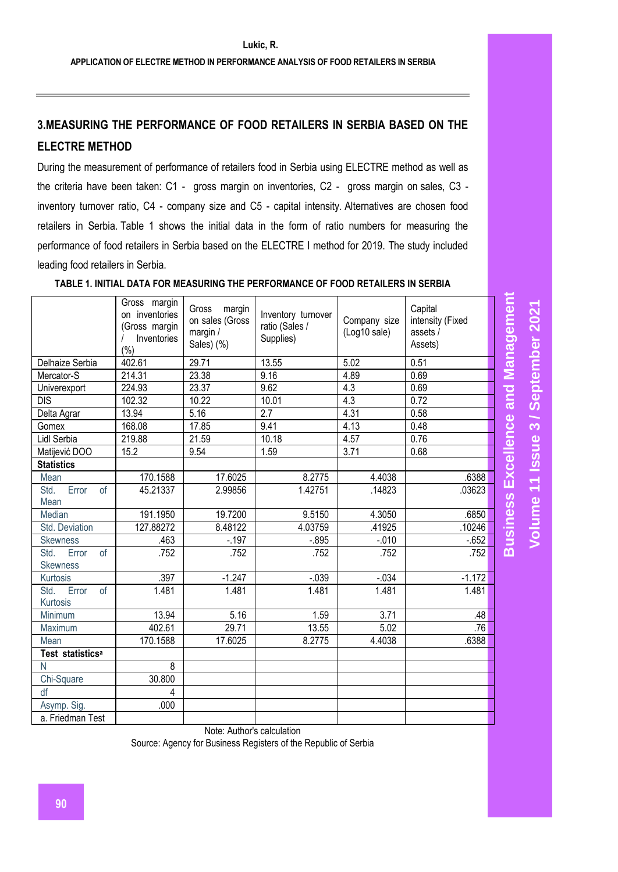# **3.MEASURING THE PERFORMANCE OF FOOD RETAILERS IN SERBIA BASED ON THE ELECTRE METHOD**

During the measurement of performance of retailers food in Serbia using ELECTRE method as well as the criteria have been taken: C1 - gross margin on inventories, C2 - gross margin on sales, C3 inventory turnover ratio, C4 - company size and C5 - capital intensity. Alternatives are chosen food retailers in Serbia. Table 1 shows the initial data in the form of ratio numbers for measuring the performance of food retailers in Serbia based on the ELECTRE I method for 2019. The study included leading food retailers in Serbia.

|                                        | Gross margin<br>on inventories<br>(Gross margin<br>Inventories<br>$(\% )$ | Gross<br>margin<br>on sales (Gross<br>margin /<br>Sales) (%) | Inventory turnover<br>ratio (Sales /<br>Supplies) | Company size<br>(Log10 sale) | Capital<br>intensity (Fixed<br>assets /<br>Assets) | <b>Excellence and Management</b> |
|----------------------------------------|---------------------------------------------------------------------------|--------------------------------------------------------------|---------------------------------------------------|------------------------------|----------------------------------------------------|----------------------------------|
| Delhaize Serbia                        | 402.61                                                                    | 29.71                                                        | 13.55                                             | 5.02                         | 0.51                                               |                                  |
| Mercator-S                             | 214.31                                                                    | 23.38                                                        | 9.16                                              | 4.89                         | 0.69                                               |                                  |
| Univerexport                           | 224.93                                                                    | 23.37                                                        | 9.62                                              | 4.3                          | 0.69                                               |                                  |
| <b>DIS</b>                             | 102.32                                                                    | 10.22                                                        | 10.01                                             | 4.3                          | 0.72                                               |                                  |
| Delta Agrar                            | 13.94                                                                     | 5.16                                                         | 2.7                                               | 4.31                         | 0.58                                               |                                  |
| Gomex                                  | 168.08                                                                    | 17.85                                                        | 9.41                                              | 4.13                         | 0.48                                               |                                  |
| Lidl Serbia                            | 219.88                                                                    | 21.59                                                        | 10.18                                             | 4.57                         | 0.76                                               |                                  |
| Matijević DOO                          | 15.2                                                                      | 9.54                                                         | 1.59                                              | 3.71                         | 0.68                                               |                                  |
| <b>Statistics</b>                      |                                                                           |                                                              |                                                   |                              |                                                    |                                  |
| Mean                                   | 170.1588                                                                  | 17.6025                                                      | 8.2775                                            | 4.4038                       | .6388                                              |                                  |
| Error<br>Std.<br><sub>of</sub><br>Mean | 45.21337                                                                  | 2.99856                                                      | 1.42751                                           | .14823                       | .03623                                             |                                  |
| Median                                 | 191.1950                                                                  | 19.7200                                                      | 9.5150                                            | 4.3050                       | .6850                                              | <b>Business</b>                  |
| Std. Deviation                         | 127.88272                                                                 | 8.48122                                                      | 4.03759                                           | .41925                       | .10246                                             |                                  |
| <b>Skewness</b>                        | .463                                                                      | $-.197$                                                      | $-0.895$                                          | $-.010$                      | $-652$                                             |                                  |
| Std.<br>Error<br>of                    | .752                                                                      | .752                                                         | .752                                              | .752                         | .752                                               |                                  |
| <b>Skewness</b>                        |                                                                           |                                                              |                                                   |                              |                                                    |                                  |
| Kurtosis                               | .397                                                                      | $-1.247$                                                     | $-0.39$                                           | $-0.34$                      | $-1.172$                                           |                                  |
| Std.<br>of<br>Error<br>Kurtosis        | 1.481                                                                     | 1.481                                                        | 1.481                                             | 1.481                        | 1.481                                              |                                  |
| Minimum                                | 13.94                                                                     | 5.16                                                         | 1.59                                              | 3.71                         | .48                                                |                                  |
| Maximum                                | 402.61                                                                    | 29.71                                                        | 13.55                                             | 5.02                         | .76                                                |                                  |
| Mean                                   | 170.1588                                                                  | 17.6025                                                      | 8.2775                                            | 4.4038                       | .6388                                              |                                  |
| Test statistics <sup>a</sup>           |                                                                           |                                                              |                                                   |                              |                                                    |                                  |
| N                                      | 8                                                                         |                                                              |                                                   |                              |                                                    |                                  |
| Chi-Square                             | 30.800                                                                    |                                                              |                                                   |                              |                                                    |                                  |
| df                                     | 4                                                                         |                                                              |                                                   |                              |                                                    |                                  |
| Asymp. Sig.                            | .000                                                                      |                                                              |                                                   |                              |                                                    |                                  |
| a. Friedman Test                       |                                                                           |                                                              |                                                   |                              |                                                    |                                  |

**TABLE 1. INITIAL DATA FOR MEASURING THE PERFORMANCE OF FOOD RETAILERS IN SERBIA**

Note: Author's calculation

Source: Agency for Business Registers of the Republic of Serbia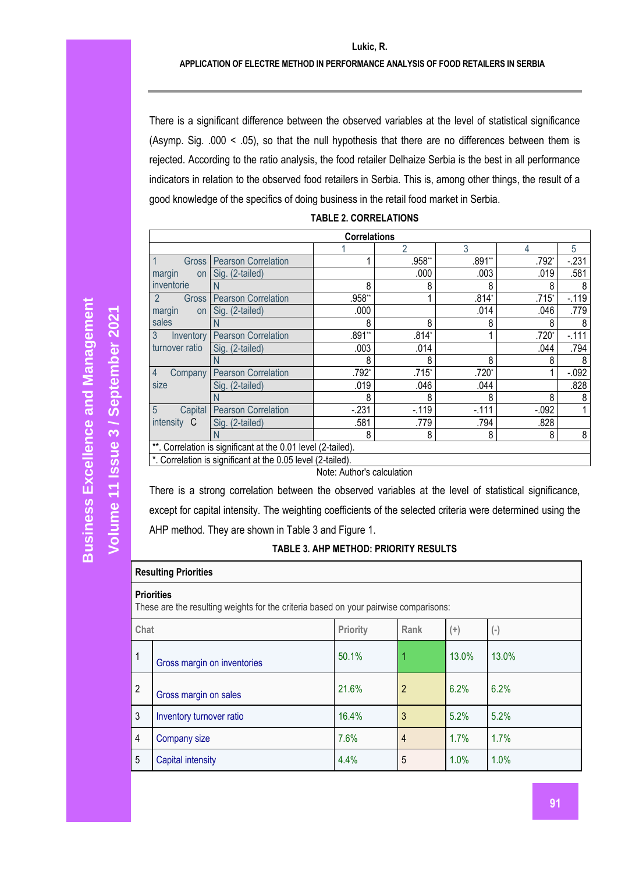### **APPLICATION OF ELECTRE METHOD IN PERFORMANCE ANALYSIS OF FOOD RETAILERS IN SERBIA**

There is a significant difference between the observed variables at the level of statistical significance (Asymp. Sig. .000 < .05), so that the null hypothesis that there are no differences between them is rejected. According to the ratio analysis, the food retailer Delhaize Serbia is the best in all performance indicators in relation to the observed food retailers in Serbia. This is, among other things, the result of a good knowledge of the specifics of doing business in the retail food market in Serbia.

|  | <b>TABLE 2. CORRELATIONS</b> |  |
|--|------------------------------|--|
|--|------------------------------|--|

|                                    |                                                              | <b>Correlations</b> |         |         |          |          |
|------------------------------------|--------------------------------------------------------------|---------------------|---------|---------|----------|----------|
|                                    |                                                              |                     | 2       | 3       | 4        | 5        |
| $\vert$ 1<br><b>Gross</b>          | <b>Pearson Correlation</b>                                   |                     | .958**  | .891**  | .792*    | $-231$   |
| margin<br>on                       | Sig. (2-tailed)                                              |                     | .000    | .003    | .019     | .581     |
| inventorie                         | N                                                            | 8                   | 8       | 8       | 8        | 8        |
| $\overline{2}$<br><b>Gross</b>     | <b>Pearson Correlation</b>                                   | .958**              |         | $.814*$ | $.715*$  | $-.119$  |
| margin<br>on                       | Sig. (2-tailed)                                              | .000                |         | .014    | .046     | .779     |
| sales                              |                                                              | 8                   | 8       |         |          |          |
| $\overline{3}$<br><b>Inventory</b> | <b>Pearson Correlation</b>                                   | .891**              | $.814*$ |         | $.720*$  | $-.111$  |
| turnover ratio                     | Sig. (2-tailed)                                              | .003                | .014    |         | .044     | .794     |
|                                    |                                                              | 8                   | 8       | 8       | 8        |          |
| $\overline{4}$<br>Company          | <b>Pearson Correlation</b>                                   | .792*               | .715*   | .720*   |          | $-0.092$ |
| size                               | Sig. (2-tailed)                                              | .019                | .046    | .044    |          | .828     |
|                                    |                                                              | 8                   | 8       | 8       | 8        | 8        |
| $5\overline{5}$<br>Capital         | <b>Pearson Correlation</b>                                   | $-231$              | $-.119$ | $-111$  | $-0.092$ |          |
| intensity C                        | Sig. (2-tailed)                                              | .581                | .779    | .794    | .828     |          |
|                                    |                                                              | 8                   | 8       | 8       | 8        | 8        |
|                                    | **. Correlation is significant at the 0.01 level (2-tailed). |                     |         |         |          |          |
|                                    | *. Correlation is significant at the 0.05 level (2-tailed).  |                     |         |         |          |          |

Note: Author's calculation

There is a strong correlation between the observed variables at the level of statistical significance, except for capital intensity. The weighting coefficients of the selected criteria were determined using the AHP method. They are shown in Table 3 and Figure 1.

## **TABLE 3. AHP METHOD: PRIORITY RESULTS**

## **Resulting Priorities**

#### **Priorities**

These are the resulting weights for the criteria based on your pairwise comparisons:

| Chat           |                             | Priority | Rank           | $^{(+)}$ | $(\text{-})$ |
|----------------|-----------------------------|----------|----------------|----------|--------------|
| $\mathbf{1}$   | Gross margin on inventories | 50.1%    |                | 13.0%    | 13.0%        |
| $\overline{2}$ | Gross margin on sales       | 21.6%    | $\overline{2}$ | 6.2%     | 6.2%         |
| $\mathbf{3}$   | Inventory turnover ratio    | 16.4%    | 3              | 5.2%     | 5.2%         |
| $\overline{4}$ | Company size                | 7.6%     | 4              | 1.7%     | 1.7%         |
| 5              | Capital intensity           | 4.4%     | 5              | 1.0%     | 1.0%         |

**Volume 11 Issue**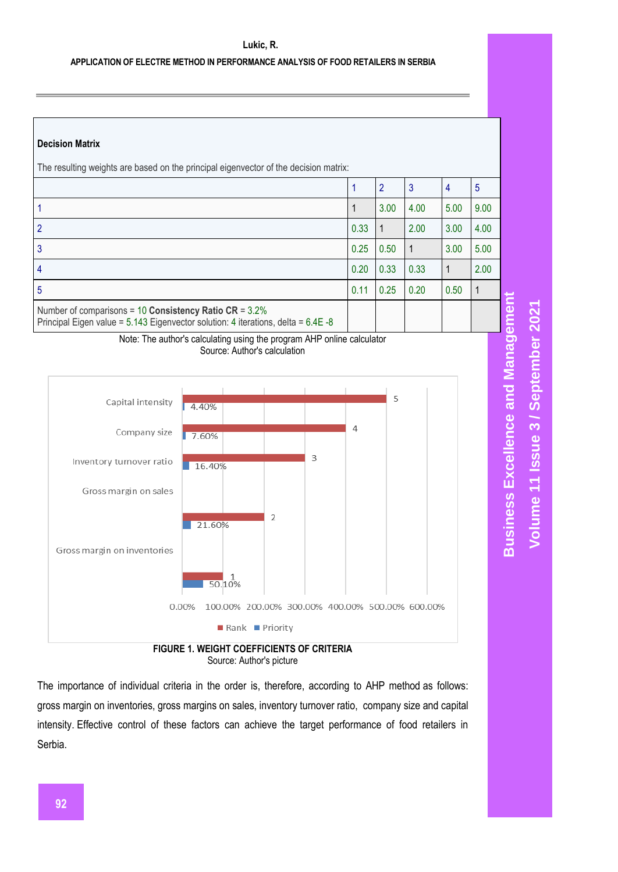## **APPLICATION OF ELECTRE METHOD IN PERFORMANCE ANALYSIS OF FOOD RETAILERS IN SERBIA**

## **Decision Matrix**

| The resulting weights are based on the principal eigenvector of the decision matrix:                                                                  |      |      |      |      |      |
|-------------------------------------------------------------------------------------------------------------------------------------------------------|------|------|------|------|------|
|                                                                                                                                                       |      | 2    | 3    | 4    | 5    |
|                                                                                                                                                       |      | 3.00 | 4.00 | 5.00 | 9.00 |
|                                                                                                                                                       | 0.33 | 1    | 2.00 | 3.00 | 4.00 |
| 3                                                                                                                                                     | 0.25 | 0.50 | -1   | 3.00 | 5.00 |
| 4                                                                                                                                                     | 0.20 | 0.33 | 0.33 | 1    | 2.00 |
| 5                                                                                                                                                     | 0.11 | 0.25 | 0.20 | 0.50 |      |
| Number of comparisons = $10$ Consistency Ratio CR = $3.2\%$<br>Principal Eigen value = $5.143$ Eigenvector solution: 4 iterations, delta = $6.4E - 8$ |      |      |      |      |      |

Note: The author's calculating using the program AHP online calculator Source: Author's calculation



Source: Author's picture

The importance of individual criteria in the order is, therefore, according to AHP method as follows: gross margin on inventories, gross margins on sales, inventory turnover ratio, company size and capital intensity. Effective control of these factors can achieve the target performance of food retailers in Serbia.

**Business Excellence and Management Business Excellence and Management** Volume 11 Issue 3 / September 2021 **/ September 2021 Volume 11 Issue**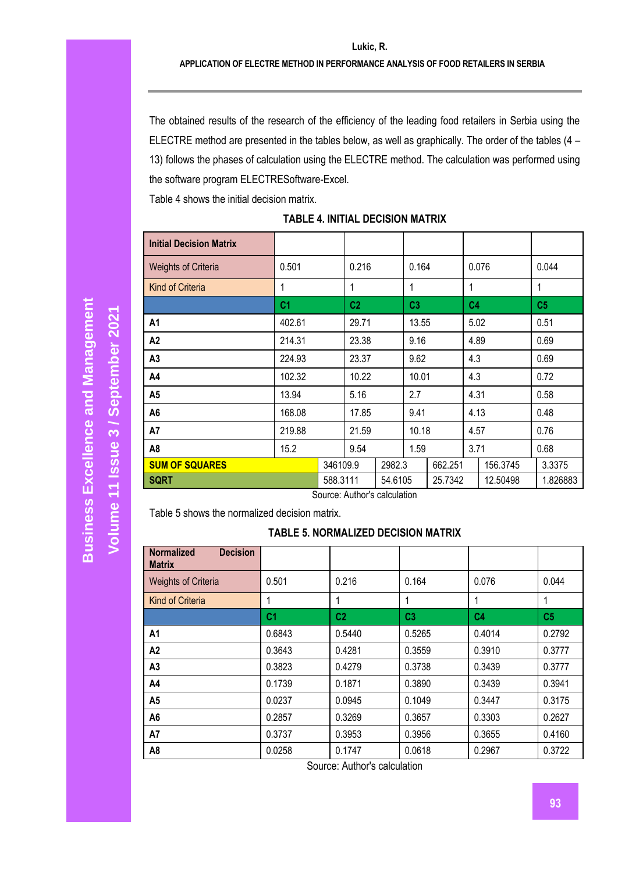The obtained results of the research of the efficiency of the leading food retailers in Serbia using the ELECTRE method are presented in the tables below, as well as graphically. The order of the tables (4 – 13) follows the phases of calculation using the ELECTRE method. The calculation was performed using the software program ELECTRESoftware-Excel.

Table 4 shows the initial decision matrix.

## **TABLE 4. INITIAL DECISION MATRIX**

| <b>Initial Decision Matrix</b> |                |          |                |         |                |         |                |          |                |
|--------------------------------|----------------|----------|----------------|---------|----------------|---------|----------------|----------|----------------|
| <b>Weights of Criteria</b>     | 0.501          |          | 0.216          |         | 0.164          |         |                | 0.076    | 0.044          |
| <b>Kind of Criteria</b>        | 1              |          | 1              |         | 1              |         | 1              |          | 1              |
|                                | C <sub>1</sub> |          | C <sub>2</sub> |         | C <sub>3</sub> |         | C <sub>4</sub> |          | C <sub>5</sub> |
| A1                             | 402.61         |          | 29.71          |         | 13.55          |         | 5.02           |          | 0.51           |
| A <sub>2</sub>                 | 214.31         |          | 23.38          |         | 9.16           |         | 4.89           |          | 0.69           |
| A <sub>3</sub>                 | 224.93         |          | 23.37          |         | 9.62           |         | 4.3            |          | 0.69           |
| A4                             | 102.32         |          | 10.22          |         | 10.01          |         | 4.3            |          | 0.72           |
| A <sub>5</sub>                 | 13.94          |          | 5.16           |         | 2.7            |         | 4.31           |          | 0.58           |
| A <sub>6</sub>                 | 168.08         |          | 17.85          |         | 9.41           |         | 4.13           |          | 0.48           |
| A7                             | 219.88         |          | 21.59          |         | 10.18          |         | 4.57           |          | 0.76           |
| A <sub>8</sub>                 | 15.2           |          | 9.54           |         | 1.59           |         | 3.71           |          | 0.68           |
| <b>SUM OF SQUARES</b>          |                | 346109.9 |                | 2982.3  |                | 662.251 |                | 156.3745 | 3.3375         |
| <b>SQRT</b>                    |                | 588.3111 |                | 54.6105 |                | 25.7342 |                | 12.50498 | 1.826883       |

Source: Author's calculation

Table 5 shows the normalized decision matrix.

# **TABLE 5. NORMALIZED DECISION MATRIX**

| <b>Decision</b><br><b>Normalized</b><br><b>Matrix</b> |                |                |                |                |                |
|-------------------------------------------------------|----------------|----------------|----------------|----------------|----------------|
| <b>Weights of Criteria</b>                            | 0.501          | 0.216          | 0.164          | 0.076          | 0.044          |
| Kind of Criteria                                      |                |                |                | 1              | 1              |
|                                                       | C <sub>1</sub> | C <sub>2</sub> | C <sub>3</sub> | C <sub>4</sub> | C <sub>5</sub> |
| A1                                                    | 0.6843         | 0.5440         | 0.5265         | 0.4014         | 0.2792         |
| A <sub>2</sub>                                        | 0.3643         | 0.4281         | 0.3559         | 0.3910         | 0.3777         |
| A <sub>3</sub>                                        | 0.3823         | 0.4279         | 0.3738         | 0.3439         | 0.3777         |
| A4                                                    | 0.1739         | 0.1871         | 0.3890         | 0.3439         | 0.3941         |
| A <sub>5</sub>                                        | 0.0237         | 0.0945         | 0.1049         | 0.3447         | 0.3175         |
| A6                                                    | 0.2857         | 0.3269         | 0.3657         | 0.3303         | 0.2627         |
| A7                                                    | 0.3737         | 0.3953         | 0.3956         | 0.3655         | 0.4160         |
| A8                                                    | 0.0258         | 0.1747         | 0.0618         | 0.2967         | 0.3722         |

Source: Author's calculation

**Volume 11 Issue** 

**/ September 2021**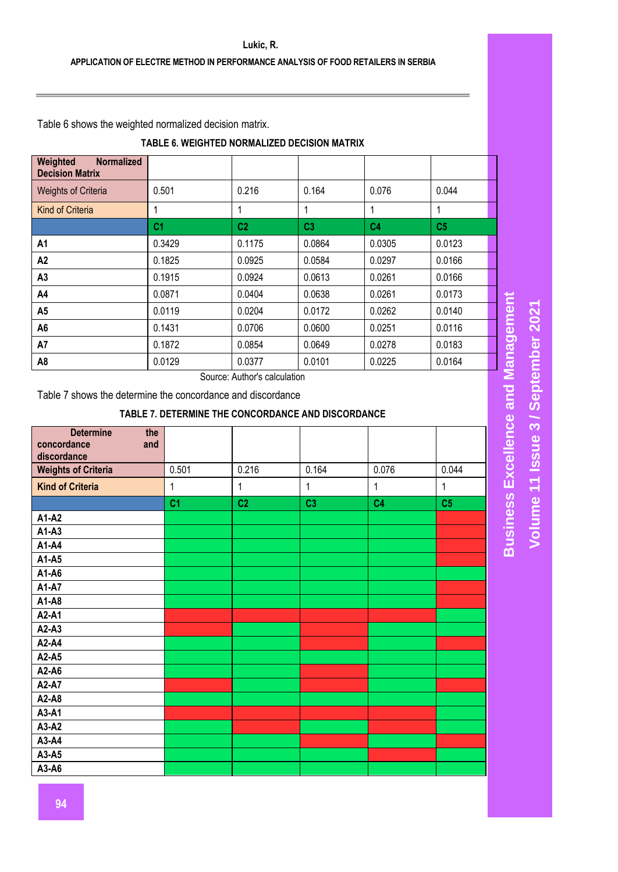Table 6 shows the weighted normalized decision matrix.

# **TABLE 6. WEIGHTED NORMALIZED DECISION MATRIX**

| Weighted<br><b>Normalized</b><br><b>Decision Matrix</b> |                  |                |                |                |                |
|---------------------------------------------------------|------------------|----------------|----------------|----------------|----------------|
| <b>Weights of Criteria</b>                              | 0.501            | 0.216          | 0.164          | 0.076          | 0.044          |
| <b>Kind of Criteria</b>                                 |                  |                |                |                |                |
|                                                         | C <sub>1</sub>   | C <sub>2</sub> | C <sub>3</sub> | C <sub>4</sub> | C <sub>5</sub> |
| A1                                                      | 0.3429           | 0.1175         | 0.0864         | 0.0305         | 0.0123         |
| A2                                                      | 0.1825           | 0.0925         | 0.0584         | 0.0297         | 0.0166         |
| A3                                                      | 0.1915           | 0.0924         | 0.0613         | 0.0261         | 0.0166         |
| A4                                                      | 0.0871           | 0.0404         | 0.0638         | 0.0261         | 0.0173         |
| A <sub>5</sub>                                          | 0.0119           | 0.0204         | 0.0172         | 0.0262         | 0.0140         |
| A6                                                      | 0.1431           | 0.0706         | 0.0600         | 0.0251         | 0.0116         |
| A7                                                      | 0.1872           | 0.0854         | 0.0649         | 0.0278         | 0.0183         |
| A8                                                      | 0.0129<br>$\sim$ | 0.0377<br>.    | 0.0101         | 0.0225         | 0.0164         |

Source: Author's calculation

Table 7 shows the determine the concordance and discordance

## **TABLE 7. DETERMINE THE CONCORDANCE AND DISCORDANCE**

| <b>Determine</b><br>the<br>concordance<br>and<br>discordance |                |                |                |                |                |
|--------------------------------------------------------------|----------------|----------------|----------------|----------------|----------------|
| <b>Weights of Criteria</b>                                   | 0.501          | 0.216          | 0.164          | 0.076          | 0.044          |
| <b>Kind of Criteria</b>                                      | 1              | 1              | 1              | 1              | 1              |
|                                                              | C <sub>1</sub> | C <sub>2</sub> | C <sub>3</sub> | C <sub>4</sub> | C <sub>5</sub> |
| A1-A2                                                        |                |                |                |                |                |
| A1-A3                                                        |                |                |                |                |                |
| A1-A4                                                        |                |                |                |                |                |
| A1-A5                                                        |                |                |                |                |                |
| A1-A6                                                        |                |                |                |                |                |
| A1-A7                                                        |                |                |                |                |                |
| A1-A8                                                        |                |                |                |                |                |
| A2-A1                                                        |                |                |                |                |                |
| A2-A3                                                        |                |                |                |                |                |
| A2-A4                                                        |                |                |                |                |                |
| A2-A5                                                        |                |                |                |                |                |
| A2-A6                                                        |                |                |                |                |                |
| A2-A7                                                        |                |                |                |                |                |
| A2-A8                                                        |                |                |                |                |                |
| A3-A1                                                        |                |                |                |                |                |
| A3-A2                                                        |                |                |                |                |                |
| A3-A4                                                        |                |                |                |                |                |
| A3-A5                                                        |                |                |                |                |                |
| A3-A6                                                        |                |                |                |                |                |

**Business Excellence and Management Business Excellence and Management Volume 11 Issue 3 / September 2021 / September 2021 Volume 11 Issue**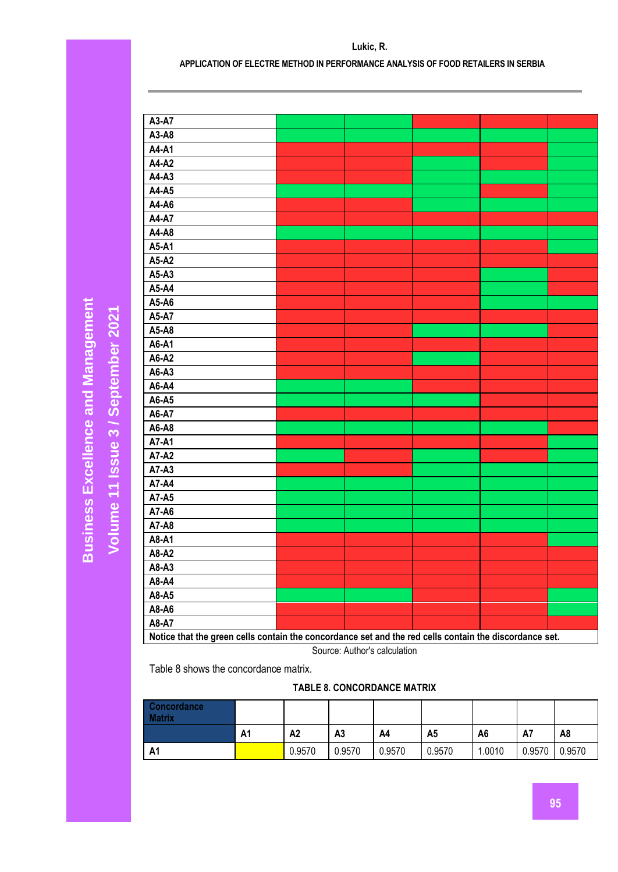**Volume 11 Issue** 

**/ September 2021**

| A3-A7     |                                                                                                        |  |  |
|-----------|--------------------------------------------------------------------------------------------------------|--|--|
| $A3-A8$   |                                                                                                        |  |  |
| A4-A1     |                                                                                                        |  |  |
| A4-A2     |                                                                                                        |  |  |
| A4-A3     |                                                                                                        |  |  |
| A4-A5     |                                                                                                        |  |  |
| A4-A6     |                                                                                                        |  |  |
| A4-A7     |                                                                                                        |  |  |
| A4-A8     |                                                                                                        |  |  |
| A5-A1     |                                                                                                        |  |  |
| A5-A2     |                                                                                                        |  |  |
| A5-A3     |                                                                                                        |  |  |
| A5-A4     |                                                                                                        |  |  |
| A5-A6     |                                                                                                        |  |  |
| A5-A7     |                                                                                                        |  |  |
| A5-A8     |                                                                                                        |  |  |
| A6-A1     |                                                                                                        |  |  |
| A6-A2     |                                                                                                        |  |  |
| A6-A3     |                                                                                                        |  |  |
| A6-A4     |                                                                                                        |  |  |
| A6-A5     |                                                                                                        |  |  |
| A6-A7     |                                                                                                        |  |  |
| A6-A8     |                                                                                                        |  |  |
| A7-A1     |                                                                                                        |  |  |
| A7-A2     |                                                                                                        |  |  |
| $A7 - A3$ |                                                                                                        |  |  |
| A7-A4     |                                                                                                        |  |  |
| A7-A5     |                                                                                                        |  |  |
| A7-A6     |                                                                                                        |  |  |
| A7-A8     |                                                                                                        |  |  |
| A8-A1     |                                                                                                        |  |  |
| A8-A2     |                                                                                                        |  |  |
| A8-A3     |                                                                                                        |  |  |
| A8-A4     |                                                                                                        |  |  |
| A8-A5     |                                                                                                        |  |  |
| A8-A6     |                                                                                                        |  |  |
| A8-A7     |                                                                                                        |  |  |
|           | Notice that the green cells contain the concordance set and the red cells contain the discordance set. |  |  |

Source: Author's calculation

Table 8 shows the concordance matrix.

# **TABLE 8. CONCORDANCE MATRIX**

| Concordance<br><b>Matrix</b> |    |        |        |        |                |        |        |        |
|------------------------------|----|--------|--------|--------|----------------|--------|--------|--------|
|                              | A1 | A2     | A3     | A4     | A <sub>5</sub> | A6     | A7     | A8     |
| <b>A1</b>                    |    | 0.9570 | 0.9570 | 0.9570 | 0.9570         | 1.0010 | 0.9570 | 0.9570 |

# **APPLICATION OF ELECTRE METHOD IN PERFORMANCE ANALYSIS OF FOOD RETAILERS IN SERBIA**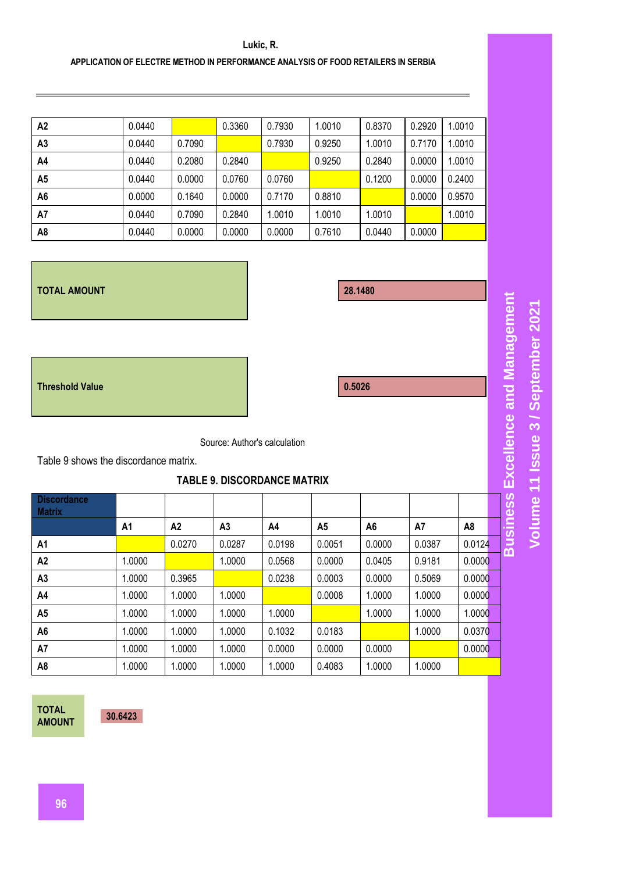### **APPLICATION OF ELECTRE METHOD IN PERFORMANCE ANALYSIS OF FOOD RETAILERS IN SERBIA**

| A2             | 0.0440 |        | 0.3360 | 0.7930 | 1.0010 | 0.8370 | 0.2920 | 1.0010 |
|----------------|--------|--------|--------|--------|--------|--------|--------|--------|
| A <sub>3</sub> | 0.0440 | 0.7090 |        | 0.7930 | 0.9250 | 1.0010 | 0.7170 | 1.0010 |
| A4             | 0.0440 | 0.2080 | 0.2840 |        | 0.9250 | 0.2840 | 0.0000 | 1.0010 |
| A <sub>5</sub> | 0.0440 | 0.0000 | 0.0760 | 0.0760 |        | 0.1200 | 0.0000 | 0.2400 |
| A <sub>6</sub> | 0.0000 | 0.1640 | 0.0000 | 0.7170 | 0.8810 |        | 0.0000 | 0.9570 |
| A7             | 0.0440 | 0.7090 | 0.2840 | 1.0010 | 1.0010 | 1.0010 |        | 1.0010 |
| A8             | 0.0440 | 0.0000 | 0.0000 | 0.0000 | 0.7610 | 0.0440 | 0.0000 |        |

#### **TOTAL AMOUNT 28.1480**

**Threshold Value 0.5026**

Source: Author's calculation

Table 9 shows the discordance matrix.

# **TABLE 9. DISCORDANCE MATRIX**

| <b>Discordance</b><br><b>Matrix</b> |        |        |                |        |        |                |        |        |
|-------------------------------------|--------|--------|----------------|--------|--------|----------------|--------|--------|
|                                     | A1     | A2     | A <sub>3</sub> | A4     | A5     | A <sub>6</sub> | A7     | A8     |
| A1                                  |        | 0.0270 | 0.0287         | 0.0198 | 0.0051 | 0.0000         | 0.0387 | 0.0124 |
| A <sub>2</sub>                      | 1.0000 |        | 1.0000         | 0.0568 | 0.0000 | 0.0405         | 0.9181 | 0.0000 |
| A <sub>3</sub>                      | 1.0000 | 0.3965 |                | 0.0238 | 0.0003 | 0.0000         | 0.5069 | 0.0000 |
| A4                                  | 1.0000 | 1.0000 | 1.0000         |        | 0.0008 | 1.0000         | 1.0000 | 0.0000 |
| A <sub>5</sub>                      | 1.0000 | 1.0000 | 1.0000         | 1.0000 |        | 1.0000         | 1.0000 | 1.0000 |
| A <sub>6</sub>                      | 1.0000 | 1.0000 | 1.0000         | 0.1032 | 0.0183 |                | 1.0000 | 0.0370 |
| A7                                  | 1.0000 | 1.0000 | 1.0000         | 0.0000 | 0.0000 | 0.0000         |        | 0.0000 |
| A8                                  | 1.0000 | 1.0000 | 1.0000         | 1.0000 | 0.4083 | 1.0000         | 1.0000 |        |

**TOTAL AMOUNT 30.6423**

**Business Excellence and Management Business Excellence and Management Volume 11 Issue 3 / September 2021 / September 2021 Volume 11 Issue**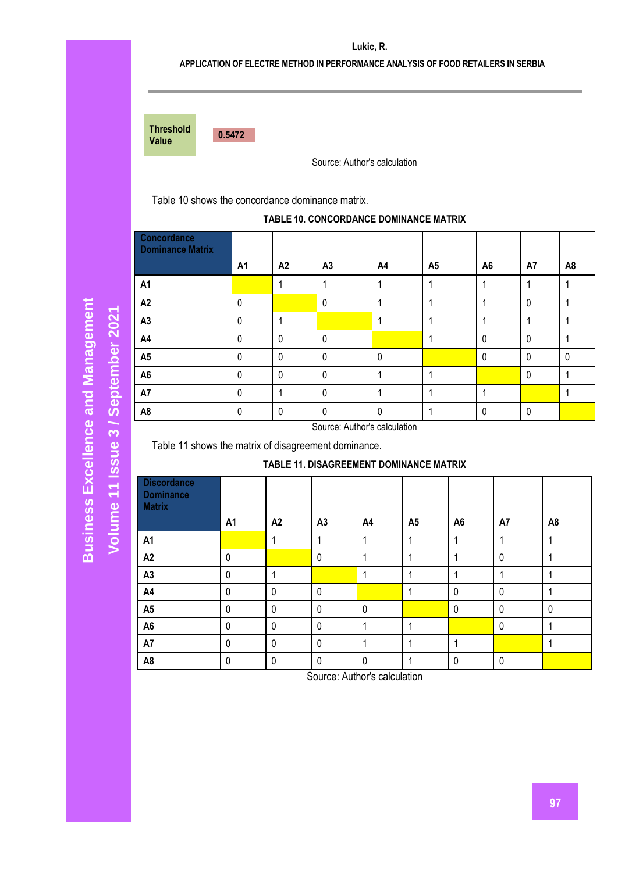# **APPLICATION OF ELECTRE METHOD IN PERFORMANCE ANALYSIS OF FOOD RETAILERS IN SERBIA**

| <b>Threshold</b><br>Value | 0.5472 |
|---------------------------|--------|
|                           |        |

Source: Author's calculation

Table 10 shows the concordance dominance matrix.

### **TABLE 10. CONCORDANCE DOMINANCE MATRIX**

| Concordance<br><b>Dominance Matrix</b> |                |             |              |              |                |                |              |                |
|----------------------------------------|----------------|-------------|--------------|--------------|----------------|----------------|--------------|----------------|
|                                        | A <sub>1</sub> | A2          | A3           | A4           | A <sub>5</sub> | A <sub>6</sub> | A7           | A <sub>8</sub> |
| A <sub>1</sub>                         |                |             |              |              |                |                |              |                |
| A2                                     | $\Omega$       |             | $\mathbf{0}$ |              |                |                | $\mathbf 0$  |                |
| A3                                     | $\Omega$       |             |              |              |                |                |              |                |
| A4                                     | $\Omega$       | $\mathbf 0$ | $\mathbf 0$  |              |                | 0              | $\mathbf 0$  |                |
| A <sub>5</sub>                         | $\Omega$       | 0           | $\mathbf 0$  | $\mathbf 0$  |                | $\Omega$       | $\mathbf 0$  | $\mathbf{0}$   |
| A <sub>6</sub>                         | $\mathbf{0}$   | $\mathbf 0$ | $\mathbf{0}$ |              |                |                | $\mathbf{0}$ |                |
| A7                                     | $\Omega$       |             | $\mathbf{0}$ |              |                |                |              |                |
| A <sub>8</sub>                         | 0              | 0           | 0            | $\mathbf{0}$ |                |                | 0            |                |

**Business Excellence and Management Business Excellence and Management** Volume 11 Issue 3 / September 2021 **/ September 2021 Volume 11 Issue** 

Source: Author's calculation

Table 11 shows the matrix of disagreement dominance.

## **TABLE 11. DISAGREEMENT DOMINANCE MATRIX**

| <b>Discordance</b><br><b>Dominance</b><br><b>Matrix</b> |    |             |                |              |                |                |             |                |
|---------------------------------------------------------|----|-------------|----------------|--------------|----------------|----------------|-------------|----------------|
|                                                         | A1 | A2          | A <sub>3</sub> | A4           | A <sub>5</sub> | A <sub>6</sub> | A7          | A <sub>8</sub> |
| A <sub>1</sub>                                          |    | 1           | 1              |              |                |                | 1           |                |
| A2                                                      | 0  |             | $\mathbf 0$    |              |                |                | $\mathbf 0$ |                |
| A3                                                      | 0  | 1           |                |              |                |                | 1           |                |
| A4                                                      | 0  | $\mathbf 0$ | $\mathbf 0$    |              |                | $\mathbf 0$    | 0           |                |
| A <sub>5</sub>                                          | 0  | $\mathbf 0$ | $\mathbf 0$    | $\mathbf{0}$ |                | $\mathbf 0$    | 0           | $\mathbf{0}$   |
| A <sub>6</sub>                                          | 0  | $\mathbf 0$ | $\pmb{0}$      |              |                |                | $\mathbf 0$ |                |
| A7                                                      | 0  | $\mathbf 0$ | $\mathbf 0$    |              |                |                |             |                |
| A <sub>8</sub>                                          | 0  | $\mathbf 0$ | $\mathbf 0$    | $\mathbf 0$  |                | $\mathbf 0$    | $\mathbf 0$ |                |

Source: Author's calculation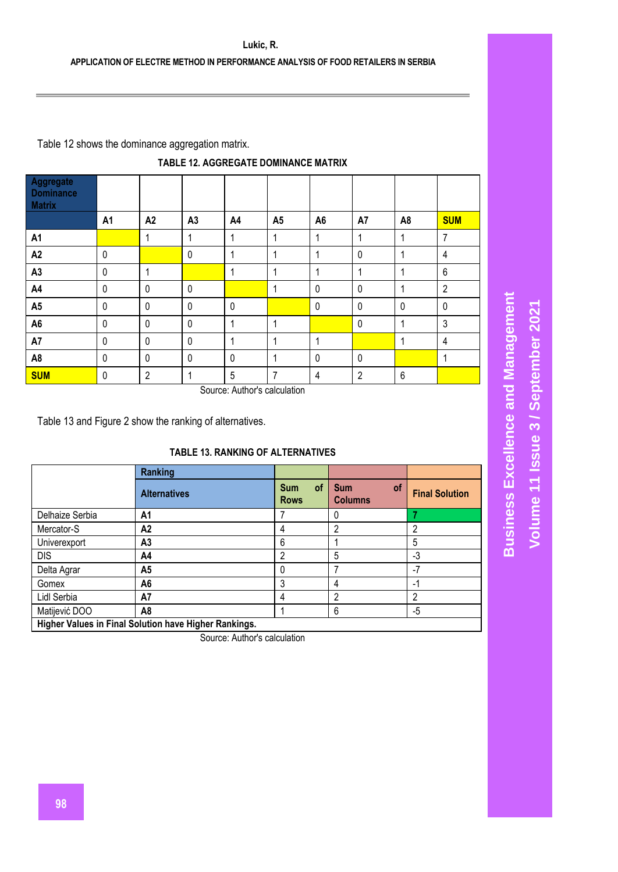Table 12 shows the dominance aggregation matrix.

| TABLE 12. AGGREGATE DOMINANCE MATRIX |
|--------------------------------------|
|--------------------------------------|

| Aggregate<br><b>Dominance</b><br><b>Matrix</b> |             |                |                |             |                |                |                |                 |                |
|------------------------------------------------|-------------|----------------|----------------|-------------|----------------|----------------|----------------|-----------------|----------------|
|                                                | A1          | A2             | A <sub>3</sub> | A4          | A <sub>5</sub> | A <sub>6</sub> | A7             | A <sub>8</sub>  | <b>SUM</b>     |
| A <sub>1</sub>                                 |             | 1              |                | 1           | 1              | 1              | 1              | 1               | 7              |
| A <sub>2</sub>                                 | $\mathbf 0$ |                | $\mathbf 0$    | 1           |                | 1              | $\mathbf 0$    | 1               | 4              |
| A <sub>3</sub>                                 | 0           | 1              |                |             |                | 1              |                | 1               | 6              |
| A4                                             | 0           | $\mathbf 0$    | 0              |             |                | $\mathbf 0$    | 0              | 1               | $\overline{2}$ |
| A <sub>5</sub>                                 | $\mathbf 0$ | $\mathbf 0$    | 0              | $\mathbf 0$ |                | $\mathbf 0$    | 0              | $\mathbf 0$     | $\mathbf 0$    |
| A <sub>6</sub>                                 | $\mathbf 0$ | $\mathbf 0$    | $\mathbf 0$    | 1           |                |                | $\mathbf 0$    | 1               | 3              |
| A7                                             | 0           | $\mathbf 0$    | 0              | 1           |                | 1              |                | 1               | 4              |
| A <sub>8</sub>                                 | $\mathbf 0$ | $\mathbf 0$    | $\mathbf 0$    | $\mathbf 0$ | 1              | $\mathbf 0$    | $\mathbf 0$    |                 | 4              |
| <b>SUM</b>                                     | 0           | $\overline{2}$ |                | 5           | 7              | $\overline{4}$ | $\overline{2}$ | $6\phantom{1}6$ |                |

Source: Author's calculation

Table 13 and Figure 2 show the ranking of alternatives.

# **TABLE 13. RANKING OF ALTERNATIVES**

|                 | Ranking                                               |                                        |                                           |                       |  |  |  |  |  |
|-----------------|-------------------------------------------------------|----------------------------------------|-------------------------------------------|-----------------------|--|--|--|--|--|
|                 | <b>Alternatives</b>                                   | <b>of</b><br><b>Sum</b><br><b>Rows</b> | <b>of</b><br><b>Sum</b><br><b>Columns</b> | <b>Final Solution</b> |  |  |  |  |  |
| Delhaize Serbia | A1                                                    |                                        |                                           |                       |  |  |  |  |  |
| Mercator-S      | A <sub>2</sub>                                        | 4                                      | າ                                         | 2                     |  |  |  |  |  |
| Univerexport    | A <sub>3</sub>                                        | 6                                      |                                           | 5                     |  |  |  |  |  |
| <b>DIS</b>      | A4                                                    | 2                                      | 5                                         | -3                    |  |  |  |  |  |
| Delta Agrar     | A5                                                    | 0                                      |                                           | $-7$                  |  |  |  |  |  |
| Gomex           | A6                                                    | 3                                      | 4                                         | -1                    |  |  |  |  |  |
| Lidl Serbia     | A7                                                    | 4                                      | າ                                         | 2                     |  |  |  |  |  |
| Matijević DOO   | A8                                                    |                                        | 6                                         | -5                    |  |  |  |  |  |
|                 | Higher Values in Final Solution have Higher Rankings. |                                        |                                           |                       |  |  |  |  |  |

Source: Author's calculation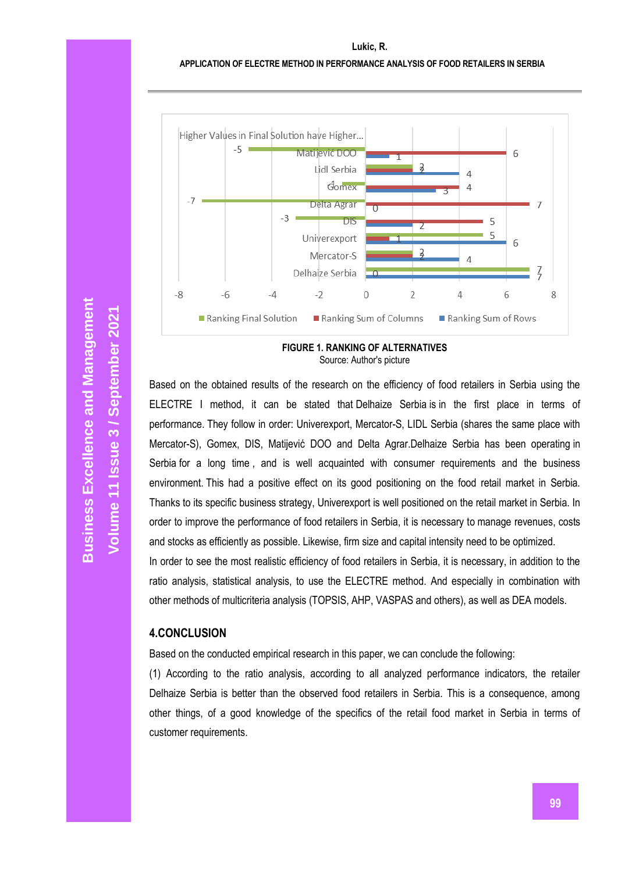

**FIGURE 1. RANKING OF ALTERNATIVES** Source: Author's picture

Based on the obtained results of the research on the efficiency of food retailers in Serbia using the ELECTRE I method, it can be stated that Delhaize Serbia is in the first place in terms of performance. They follow in order: Univerexport, Mercator-S, LIDL Serbia (shares the same place with Mercator-S), Gomex, DIS, Matijević DOO and Delta Agrar.Delhaize Serbia has been operating in Serbia for a long time , and is well acquainted with consumer requirements and the business environment. This had a positive effect on its good positioning on the food retail market in Serbia. Thanks to its specific business strategy, Univerexport is well positioned on the retail market in Serbia. In order to improve the performance of food retailers in Serbia, it is necessary to manage revenues, costs and stocks as efficiently as possible. Likewise, firm size and capital intensity need to be optimized. In order to see the most realistic efficiency of food retailers in Serbia, it is necessary, in addition to the

ratio analysis, statistical analysis, to use the ELECTRE method. And especially in combination with other methods of multicriteria analysis (TOPSIS, AHP, VASPAS and others), as well as DEA models.

# **4.CONCLUSION**

Based on the conducted empirical research in this paper, we can conclude the following:

(1) According to the ratio analysis, according to all analyzed performance indicators, the retailer Delhaize Serbia is better than the observed food retailers in Serbia. This is a consequence, among other things, of a good knowledge of the specifics of the retail food market in Serbia in terms of customer requirements.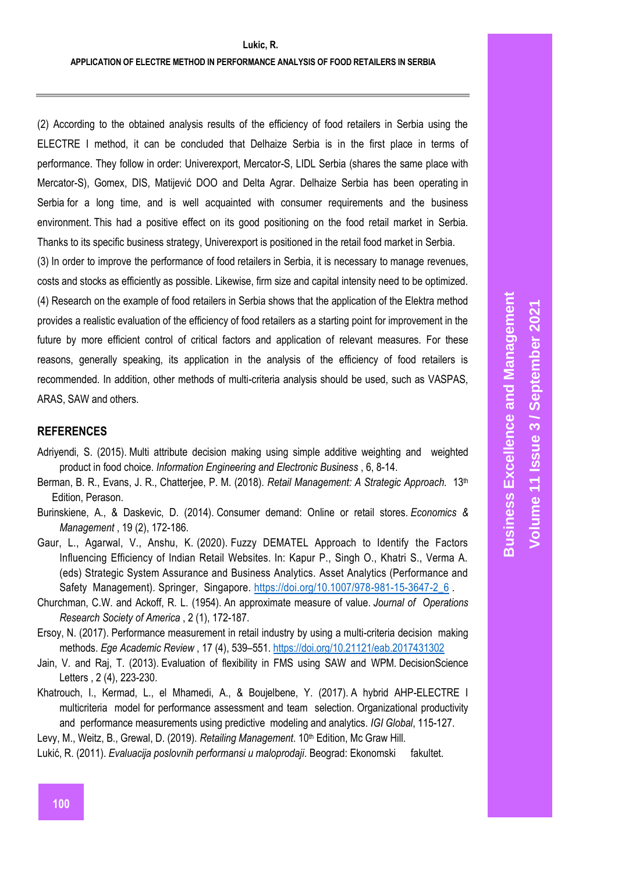(2) According to the obtained analysis results of the efficiency of food retailers in Serbia using the ELECTRE I method, it can be concluded that Delhaize Serbia is in the first place in terms of performance. They follow in order: Univerexport, Mercator-S, LIDL Serbia (shares the same place with Mercator-S), Gomex, DIS, Matijević DOO and Delta Agrar. Delhaize Serbia has been operating in Serbia for a long time, and is well acquainted with consumer requirements and the business environment. This had a positive effect on its good positioning on the food retail market in Serbia. Thanks to its specific business strategy, Univerexport is positioned in the retail food market in Serbia.

(3) In order to improve the performance of food retailers in Serbia, it is necessary to manage revenues, costs and stocks as efficiently as possible. Likewise, firm size and capital intensity need to be optimized. (4) Research on the example of food retailers in Serbia shows that the application of the Elektra method provides a realistic evaluation of the efficiency of food retailers as a starting point for improvement in the future by more efficient control of critical factors and application of relevant measures. For these reasons, generally speaking, its application in the analysis of the efficiency of food retailers is recommended. In addition, other methods of multi-criteria analysis should be used, such as VASPAS, ARAS, SAW and others.

# **REFERENCES**

- Adriyendi, S. (2015). Multi attribute decision making using simple additive weighting and weighted product in food choice. *Information Engineering and Electronic Business* , 6, 8-14.
- Berman, B. R., Evans, J. R., Chatterjee, P. M. (2018). *Retail Management: A Strategic Approach.* 13th Edition, Perason.
- Burinskiene, A., & Daskevic, D. (2014). Consumer demand: Online or retail stores. *Economics & Management* , 19 (2), 172-186.
- Gaur, L., Agarwal, V., Anshu, K. (2020). Fuzzy DEMATEL Approach to Identify the Factors Influencing Efficiency of Indian Retail Websites. In: Kapur P., Singh O., Khatri S., Verma A. (eds) Strategic System Assurance and Business Analytics. Asset Analytics (Performance and Safety Management). Springer, Singapore. [https://doi.org/10.1007/978-981-15-3647-2\\_6](https://translate.google.com/translate?hl=en&prev=_t&sl=sr&tl=en&u=https://doi.org/10.1007/978-981-15-3647-2_6).
- Churchman, C.W. and Ackoff, R. L. (1954). An approximate measure of value. *Journal of Operations Research Society of America* , 2 (1), 172-187.
- Ersoy, N. (2017). Performance measurement in retail industry by using a multi-criteria decision making methods. *Ege Academic Review* , 17 (4), 539–551. [https://doi.org/10.21121/eab.2017431302](https://translate.google.com/translate?hl=en&prev=_t&sl=sr&tl=en&u=https://doi.org/10.21121/eab.2017431302)
- Jain, V. and Raj, T. (2013). Evaluation of flexibility in FMS using SAW and WPM. DecisionScience Letters , 2 (4), 223-230.
- Khatrouch, I., Kermad, L., el Mhamedi, A., & Boujelbene, Y. (2017). A hybrid AHP-ELECTRE I multicriteria model for performance assessment and team selection. Organizational productivity and performance measurements using predictive modeling and analytics. *IGI Global*, 115-127.
- Levy, M., Weitz, B., Grewal, D. (2019). *Retailing Management*. 10<sup>th</sup> Edition, Mc Graw Hill. Lukić, R. (2011). *Evaluacija poslovnih performansi u maloprodaji*. Beograd: Ekonomski fakultet.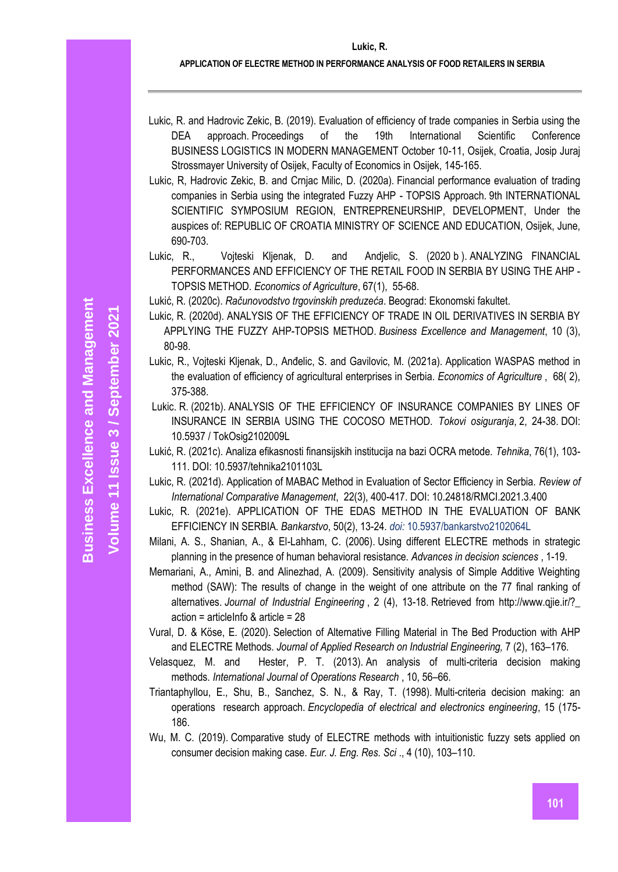- Lukic, R. and Hadrovic Zekic, B. (2019). Evaluation of efficiency of trade companies in Serbia using the DEA approach. Proceedings of the 19th International Scientific Conference BUSINESS LOGISTICS IN MODERN MANAGEMENT October 10-11, Osijek, Croatia, Josip Juraj Strossmayer University of Osijek, Faculty of Economics in Osijek, 145-165.
- Lukic, R, Hadrovic Zekic, B. and Crnjac Milic, D. (2020a). Financial performance evaluation of trading companies in Serbia using the integrated Fuzzy AHP - TOPSIS Approach. 9th INTERNATIONAL SCIENTIFIC SYMPOSIUM REGION, ENTREPRENEURSHIP, DEVELOPMENT, Under the auspices of: REPUBLIC OF CROATIA MINISTRY OF SCIENCE AND EDUCATION, Osijek, June, 690-703.
- Lukic, R., Vojteski Kljenak, D. and Andjelic, S. (2020 b ). ANALYZING FINANCIAL PERFORMANCES AND EFFICIENCY OF THE RETAIL FOOD IN SERBIA BY USING THE AHP - TOPSIS METHOD. *Economics of Agriculture*, 67(1), 55-68.

Lukić, R. (2020c). *Računovodstvo trgovinskih preduzeća*. Beograd: Ekonomski fakultet.

- Lukic, R. (2020d). ANALYSIS OF THE EFFICIENCY OF TRADE IN OIL DERIVATIVES IN SERBIA BY APPLYING THE FUZZY AHP-TOPSIS METHOD. *Business Excellence and Management*, 10 (3), 80-98.
- Lukic, R., Vojteski Kljenak, D., Anđelic, S. and Gavilovic, M. (2021a). Application WASPAS method in the evaluation of efficiency of agricultural enterprises in Serbia. *Economics of Agriculture* , 68( 2), 375-388.
- Lukic. R. (2021b). ANALYSIS OF THE EFFICIENCY OF INSURANCE COMPANIES BY LINES OF INSURANCE IN SERBIA USING THE COCOSO METHOD. *Tokovi osiguranja*, 2, 24-38. DOI: 10.5937 / TokOsig2102009L
- Lukić, R. (2021c). Analiza efikasnosti finansijskih institucija na bazi OCRA metode. *Tehnika*, 76(1), 103- 111. DOI: 10.5937/tehnika2101103L
- Lukic, R. (2021d). Application of MABAC Method in Evaluation of Sector Efficiency in Serbia. *Review of International Comparative Management*, 22(3), 400-417. DOI: 10.24818/RMCI.2021.3.400
- Lukic, R. (2021e). APPLICATION OF THE EDAS METHOD IN THE EVALUATION OF BANK EFFICIENCY IN SERBIA. *Bankarstvo*, 50(2), 13-24. *doi:* 10.5937/bankarstvo2102064L
- Milani, A. S., Shanian, A., & El-Lahham, C. (2006). Using different ELECTRE methods in strategic planning in the presence of human behavioral resistance. *Advances in decision sciences* , 1-19.
- Memariani, A., Amini, B. and Alinezhad, A. (2009). Sensitivity analysis of Simple Additive Weighting method (SAW): The results of change in the weight of one attribute on the 77 final ranking of alternatives. *Journal of Industrial Engineering* , 2 (4), 13-18. Retrieved from http://www.qjie.ir/?\_  $action = articleInfo & article = 28$
- Vural, D. & Köse, E. (2020). Selection of Alternative Filling Material in The Bed Production with AHP and ELECTRE Methods. *Journal of Applied Research on Industrial Engineering,* 7 (2), 163–176.
- Velasquez, M. and Hester, P. T. (2013). An analysis of multi-criteria decision making methods. *International Journal of Operations Research* , 10, 56–66.
- Triantaphyllou, E., Shu, B., Sanchez, S. N., & Ray, T. (1998). Multi-criteria decision making: an operations research approach. *Encyclopedia of electrical and electronics engineering*, 15 (175- 186.
- Wu, M. C. (2019). Comparative study of ELECTRE methods with intuitionistic fuzzy sets applied on consumer decision making case. *Eur. J. Eng. Res. Sci* ., 4 (10), 103–110.

**Volume 11 Issue** 

**/ September 2021**